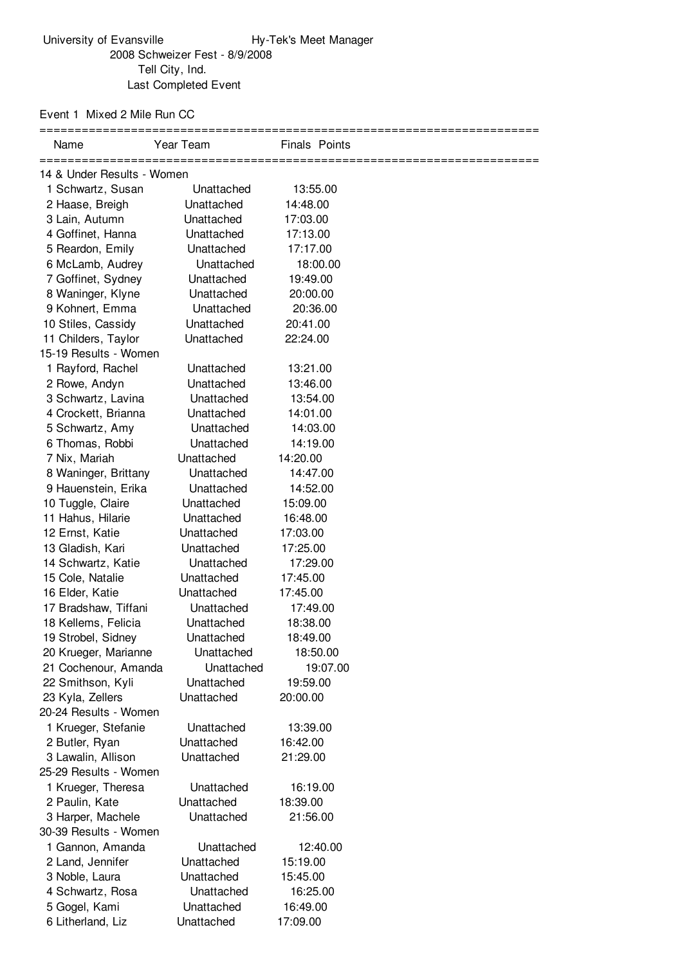## Event 1 Mixed 2 Mile Run CC

| Name                                                       | Year Team  | Finals Points |  |  |  |
|------------------------------------------------------------|------------|---------------|--|--|--|
| ____________________________<br>14 & Under Results - Women |            |               |  |  |  |
| 1 Schwartz, Susan                                          | Unattached | 13:55.00      |  |  |  |
| 2 Haase, Breigh                                            | Unattached | 14:48.00      |  |  |  |
| 3 Lain, Autumn                                             | Unattached | 17:03.00      |  |  |  |
| 4 Goffinet, Hanna                                          | Unattached | 17:13.00      |  |  |  |
| 5 Reardon, Emily                                           | Unattached | 17:17.00      |  |  |  |
| 6 McLamb, Audrey                                           | Unattached | 18:00.00      |  |  |  |
| 7 Goffinet, Sydney                                         | Unattached | 19:49.00      |  |  |  |
| 8 Waninger, Klyne                                          | Unattached | 20:00.00      |  |  |  |
| 9 Kohnert, Emma                                            | Unattached | 20:36.00      |  |  |  |
| 10 Stiles, Cassidy                                         | Unattached | 20:41.00      |  |  |  |
| 11 Childers, Taylor                                        | Unattached | 22:24.00      |  |  |  |
| 15-19 Results - Women                                      |            |               |  |  |  |
| 1 Rayford, Rachel                                          | Unattached | 13:21.00      |  |  |  |
| 2 Rowe, Andyn                                              | Unattached | 13:46.00      |  |  |  |
| 3 Schwartz, Lavina                                         | Unattached | 13:54.00      |  |  |  |
| 4 Crockett, Brianna                                        | Unattached | 14:01.00      |  |  |  |
| 5 Schwartz, Amy                                            | Unattached | 14:03.00      |  |  |  |
| 6 Thomas, Robbi                                            | Unattached | 14:19.00      |  |  |  |
| 7 Nix, Mariah                                              | Unattached | 14:20.00      |  |  |  |
| 8 Waninger, Brittany                                       | Unattached | 14:47.00      |  |  |  |
| 9 Hauenstein, Erika                                        | Unattached | 14:52.00      |  |  |  |
| 10 Tuggle, Claire                                          | Unattached | 15:09.00      |  |  |  |
| 11 Hahus, Hilarie                                          | Unattached | 16:48.00      |  |  |  |
| 12 Ernst, Katie                                            | Unattached | 17:03.00      |  |  |  |
| 13 Gladish, Kari                                           | Unattached | 17:25.00      |  |  |  |
| 14 Schwartz, Katie                                         | Unattached | 17:29.00      |  |  |  |
| 15 Cole, Natalie                                           | Unattached | 17:45.00      |  |  |  |
| 16 Elder, Katie                                            | Unattached | 17:45.00      |  |  |  |
| 17 Bradshaw, Tiffani                                       | Unattached | 17:49.00      |  |  |  |
| 18 Kellems, Felicia                                        | Unattached | 18:38.00      |  |  |  |
| 19 Strobel, Sidney                                         | Unattached | 18:49.00      |  |  |  |
| 20 Krueger, Marianne                                       | Unattached | 18:50.00      |  |  |  |
| 21 Cochenour, Amanda                                       | Unattached | 19:07.00      |  |  |  |
| 22 Smithson, Kyli                                          | Unattached | 19:59.00      |  |  |  |
| 23 Kyla, Zellers                                           | Unattached | 20:00.00      |  |  |  |
| 20-24 Results - Women                                      |            |               |  |  |  |
| 1 Krueger, Stefanie                                        | Unattached | 13:39.00      |  |  |  |
| 2 Butler, Ryan                                             | Unattached | 16:42.00      |  |  |  |
| 3 Lawalin, Allison                                         | Unattached | 21:29.00      |  |  |  |
| 25-29 Results - Women                                      |            |               |  |  |  |
| 1 Krueger, Theresa                                         | Unattached | 16:19.00      |  |  |  |
| 2 Paulin, Kate                                             | Unattached | 18:39.00      |  |  |  |
| 3 Harper, Machele                                          | Unattached | 21:56.00      |  |  |  |
| 30-39 Results - Women                                      |            |               |  |  |  |
| 1 Gannon, Amanda                                           | Unattached | 12:40.00      |  |  |  |
| 2 Land, Jennifer                                           | Unattached | 15:19.00      |  |  |  |
| 3 Noble, Laura                                             | Unattached | 15:45.00      |  |  |  |
| 4 Schwartz, Rosa                                           | Unattached | 16:25.00      |  |  |  |
| 5 Gogel, Kami                                              | Unattached | 16:49.00      |  |  |  |
| 6 Litherland, Liz                                          | Unattached | 17:09.00      |  |  |  |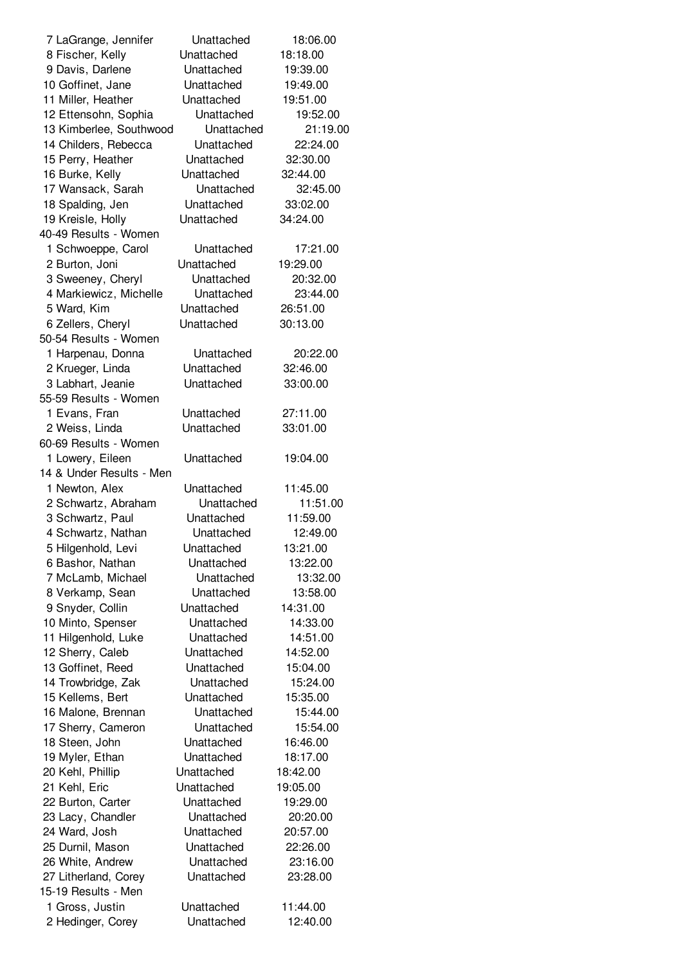| 7 LaGrange, Jennifer                        | Unattached | 18:06.00 |
|---------------------------------------------|------------|----------|
| 8 Fischer, Kelly                            | Unattached | 18:18.00 |
| 9 Davis, Darlene                            | Unattached | 19:39.00 |
| 10 Goffinet, Jane                           | Unattached | 19:49.00 |
| 11 Miller, Heather                          | Unattached | 19:51.00 |
| 12 Ettensohn, Sophia                        | Unattached | 19:52.00 |
| 13 Kimberlee, Southwood                     | Unattached | 21:19.00 |
| 14 Childers, Rebecca                        | Unattached | 22:24.00 |
| 15 Perry, Heather                           | Unattached | 32:30.00 |
| 16 Burke, Kelly                             | Unattached | 32:44.00 |
| 17 Wansack, Sarah                           | Unattached | 32:45.00 |
| 18 Spalding, Jen                            | Unattached | 33:02.00 |
| 19 Kreisle, Holly                           | Unattached | 34:24.00 |
| 40-49 Results - Women                       |            |          |
| 1 Schwoeppe, Carol                          | Unattached | 17:21.00 |
| 2 Burton, Joni                              | Unattached | 19:29.00 |
|                                             | Unattached | 20:32.00 |
| 3 Sweeney, Cheryl<br>4 Markiewicz, Michelle | Unattached | 23:44.00 |
|                                             |            |          |
| 5 Ward, Kim                                 | Unattached | 26:51.00 |
| 6 Zellers, Cheryl                           | Unattached | 30:13.00 |
| 50-54 Results - Women                       |            |          |
| 1 Harpenau, Donna                           | Unattached | 20:22.00 |
| 2 Krueger, Linda                            | Unattached | 32:46.00 |
| 3 Labhart, Jeanie                           | Unattached | 33:00.00 |
| 55-59 Results - Women                       |            |          |
| 1 Evans, Fran                               | Unattached | 27:11.00 |
| 2 Weiss, Linda                              | Unattached | 33:01.00 |
| 60-69 Results - Women                       |            |          |
| 1 Lowery, Eileen                            | Unattached | 19:04.00 |
| 14 & Under Results - Men                    |            |          |
| 1 Newton, Alex                              | Unattached | 11:45.00 |
| 2 Schwartz, Abraham                         | Unattached | 11:51.00 |
| 3 Schwartz, Paul                            | Unattached | 11:59.00 |
| 4 Schwartz, Nathan                          | Unattached | 12:49.00 |
| 5 Hilgenhold, Levi                          | Unattached | 13:21.00 |
| 6 Bashor, Nathan                            | Unattached | 13:22.00 |
| 7 McLamb, Michael                           | Unattached | 13:32.00 |
| 8 Verkamp, Sean                             | Unattached | 13:58.00 |
| 9 Snyder, Collin                            | Unattached | 14:31.00 |
| 10 Minto, Spenser                           | Unattached | 14:33.00 |
| 11 Hilgenhold, Luke                         | Unattached | 14:51.00 |
| 12 Sherry, Caleb                            | Unattached | 14:52.00 |
| 13 Goffinet, Reed                           | Unattached | 15:04.00 |
| 14 Trowbridge, Zak                          | Unattached | 15:24.00 |
| 15 Kellems, Bert                            | Unattached | 15:35.00 |
| 16 Malone, Brennan                          | Unattached | 15:44.00 |
| 17 Sherry, Cameron                          | Unattached | 15:54.00 |
| 18 Steen, John                              | Unattached | 16:46.00 |
| 19 Myler, Ethan                             | Unattached | 18:17.00 |
| 20 Kehl, Phillip                            | Unattached | 18:42.00 |
| 21 Kehl, Eric                               | Unattached | 19:05.00 |
| 22 Burton, Carter                           | Unattached | 19:29.00 |
| 23 Lacy, Chandler                           | Unattached | 20:20.00 |
| 24 Ward, Josh                               | Unattached | 20:57.00 |
| 25 Durnil, Mason                            | Unattached | 22:26.00 |
| 26 White, Andrew                            | Unattached | 23:16.00 |
| 27 Litherland, Corey                        | Unattached | 23:28.00 |
| 15-19 Results - Men                         |            |          |
| 1 Gross, Justin                             | Unattached | 11:44.00 |
| 2 Hedinger, Corey                           | Unattached | 12:40.00 |
|                                             |            |          |